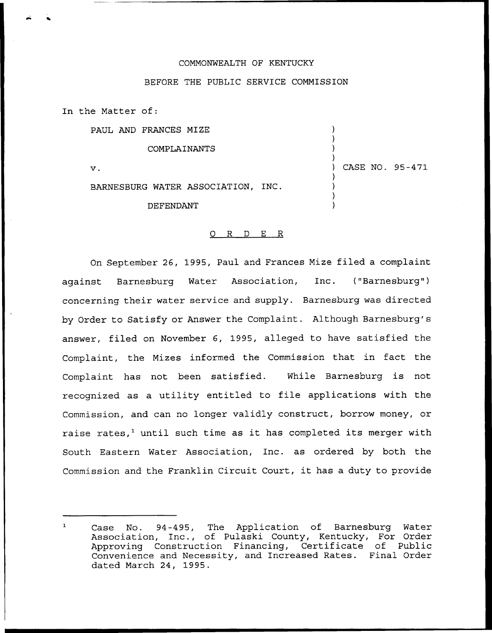## COMMONWEALTH OF KENTUCKY

## BEFORE THE PUBLIC SERVICE COMMISSION

In the Matter of:

PAUL AND FRANCES MIZE

COMPLAINANTS

 $\mathbf v$ .

) CASE NO. 95-471

) ) ) )

) ) ) )

BARNESBURG WATER ASSOCIATION, INC.

DEFENDANT

## 0 R <sup>D</sup> E R

On September 26, 1995, Paul and Frances Mize filed a complaint against Barnesburg Water Association, Inc. ("Barnesburg") concerning their water service and supply. Barnesburg was directed by Order to Satisfy or Answer the Complaint. Although Barnesburg's answer, filed on November 6, 1995, alleged to have satisfied the Complaint, the Mizes informed the Commission that in fact the Complaint has not been satisfied. While Barnesburg is not recognized as <sup>a</sup> utility entitled to file applications with the Commission, and can no longer validly construct, borrow money, or raise rates,<sup>1</sup> until such time as it has completed its merger with South Eastern Water Association, Inc. as ordered by both the Commission and the Franklin Circuit Court, it has <sup>a</sup> duty to provide

 $\mathbf{1}$ Case No. 94-495, The Application of Barnesburg Water Association, Inc., of Pulaski County, Kentucky, For Order Approving Construction Financing, Certificate of Public Convenience and Necessity, and Increased Rates. Final Order dated March 24, 1995.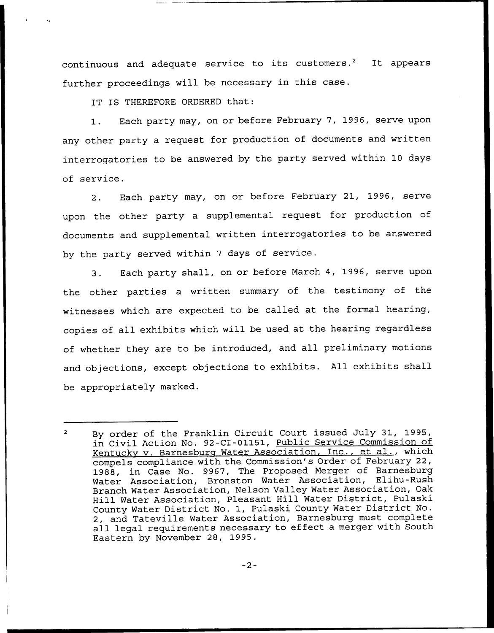continuous and adequate service to its customers.<sup>2</sup> It appears further proceedings will be necessary in this case.

IT IS THEREFORE ORDERED that:

1. Each party may, on or before February 7, 1996, serve upon any other party a request for production of documents and written interrogatories to be answered by the party served within 10 days of service.

2. Each party may, on or before February 21, 1996, serve upon the other party a supplemental request for production of documents and supplemental written interrogatories to be answered by the party served within <sup>7</sup> days of service.

3. Each party shall, on or before March 4, 1996, serve upon the other parties a written summary of the testimony of the witnesses which are expected to be called at the formal hearing, copies of all exhibits which will be used at the hearing regardless of whether they are to be introduced, and all preliminary motions and objections, except objections to exhibits. All exhibits shall be appropriately marked.

By order of the Franklin Circuit Court issued July 31, 1995,  $\overline{2}$ in Civil Action No. 92-CI-01151, Public Service Commission of Kentucky v. Barnesburg Water Association, Inc., et al., which compels compliance with the Commission's Order of February 22, 1988, in Case No. 9967, The Proposed Merger of Barnesburg Water Association, Bronston Water Association, Elihu-Rush Branch Water Association, Nelson Valley Water Association, Oak Hill Water Association, Pleasant Hill Water District, Pulaski County Water District No. 1, Pulaski County Water District No. 2, and Tateville Water Association, Barnesburg must complete all legal requirements necessary to effect <sup>a</sup> merger with South Eastern by November 28, 1995.